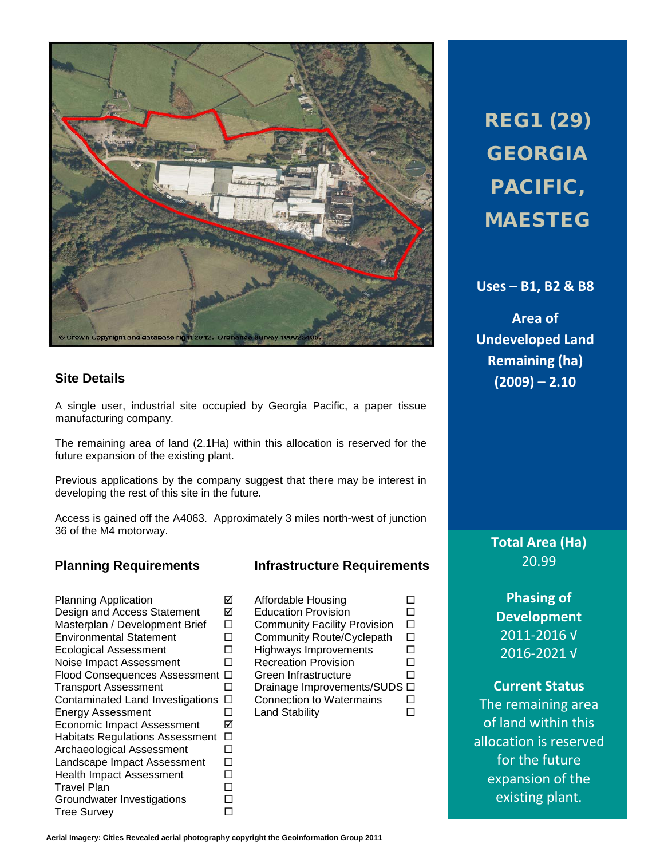

## **Site Details**

A single user, industrial site occupied by Georgia Pacific, a paper tissue manufacturing company.

The remaining area of land (2.1Ha) within this allocation is reserved for the future expansion of the existing plant.

Previous applications by the company suggest that there may be interest in developing the rest of this site in the future.

Access is gained off the A4063. Approximately 3 miles north-west of junction 36 of the M4 motorway.

## **Planning Requirements Infrastructure Requirements**

Planning Application <br>
Design and Access Statement M Design and Access Statement Masterplan / Development Brief  $\Box$ <br>Environmental Statement  $\Box$ Environmental Statement  $\square$ <br>
Ecological Assessment  $\square$ Ecological Assessment  $\Box$ <br>Noise Impact Assessment H Noise Impact Assessment Flood Consequences Assessment  $\Box$ <br>
Transport Assessment  $\Box$ **Transport Assessment** Contaminated Land Investigations  $\Box$ <br>
Energy Assessment Energy Assessment Economic Impact Assessment Habitats Regulations Assessment  $\square$ <br>Archaeological Assessment  $\square$ Archaeological Assessment Landscape Impact Assessment  $\Box$ Health Impact Assessment  $\square$ <br>Travel Plan  $\square$ Travel Plan<br>Groundwater Investigations □ Groundwater Investigations  $\square$ <br>Tree Survev  $\square$ Tree Survey

| Affordable Housing                  |    |
|-------------------------------------|----|
| <b>Education Provision</b>          |    |
| <b>Community Facility Provision</b> |    |
| Community Route/Cyclepath           | L, |
| <b>Highways Improvements</b>        | ÷, |
| <b>Recreation Provision</b>         |    |
| Green Infrastructure                | L  |
| Drainage Improvements/SUDS          | Г  |
| <b>Connection to Watermains</b>     |    |
| <b>Land Stability</b>               |    |
|                                     |    |
|                                     |    |

REG1 (29) GEORGIA PACIFIC, MAESTEG

**Uses – B1, B2 & B8**

**Area of Undeveloped Land Remaining (ha) (2009) – 2.10**

**Total Area (Ha)** 20.99

**Phasing of Development** 2011-2016 √ 2016-2021 √

## **Current Status**

The remaining area of land within this allocation is reserved for the future expansion of the existing plant.